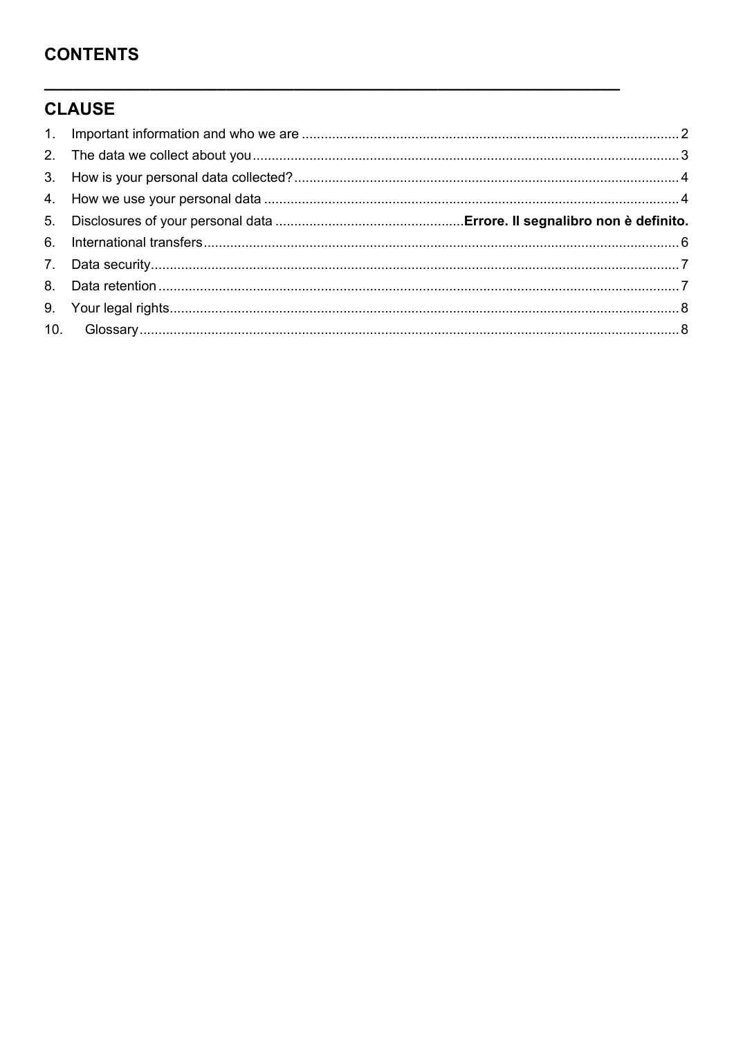# **CONTENTS**

# **CLAUSE**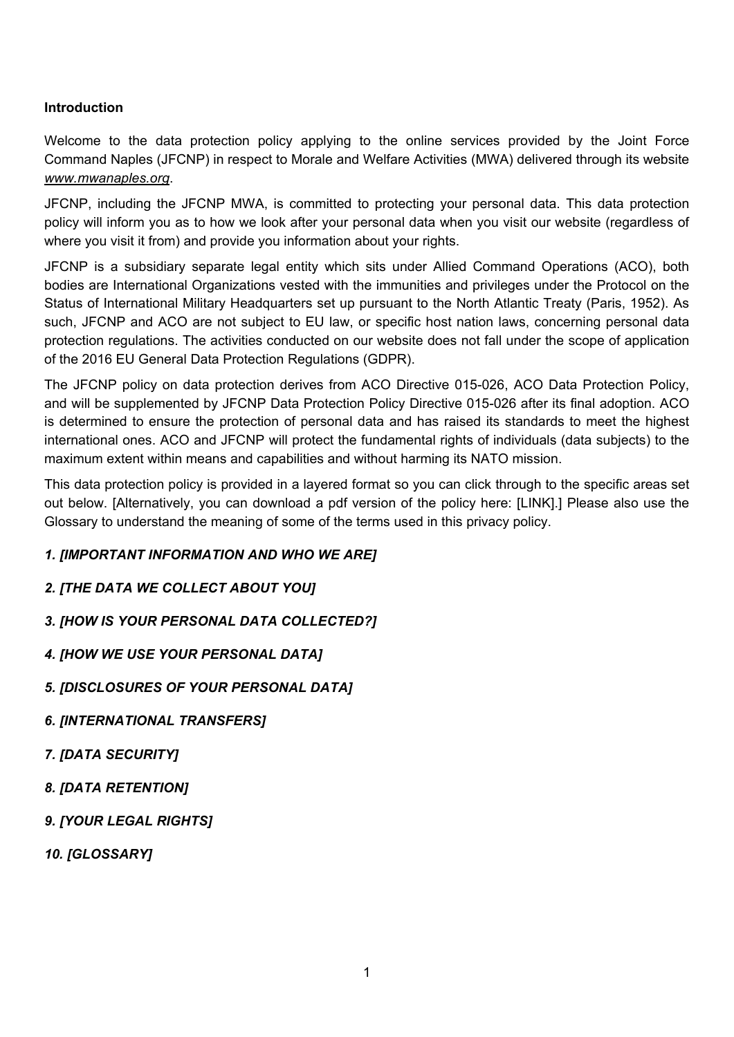# **Introduction**

Welcome to the data protection policy applying to the online services provided by the Joint Force Command Naples (JFCNP) in respect to Morale and Welfare Activities (MWA) delivered through its website *[www.mwanaples.org](http://www.mwanaples.org/)*.

JFCNP, including the JFCNP MWA, is committed to protecting your personal data. This data protection policy will inform you as to how we look after your personal data when you visit our website (regardless of where you visit it from) and provide you information about your rights.

JFCNP is a subsidiary separate legal entity which sits under Allied Command Operations (ACO), both bodies are International Organizations vested with the immunities and privileges under the Protocol on the Status of International Military Headquarters set up pursuant to the North Atlantic Treaty (Paris, 1952). As such, JFCNP and ACO are not subject to EU law, or specific host nation laws, concerning personal data protection regulations. The activities conducted on our website does not fall under the scope of application of the 2016 EU General Data Protection Regulations (GDPR).

The JFCNP policy on data protection derives from ACO Directive 015-026, ACO Data Protection Policy, and will be supplemented by JFCNP Data Protection Policy Directive 015-026 after its final adoption. ACO is determined to ensure the protection of personal data and has raised its standards to meet the highest international ones. ACO and JFCNP will protect the fundamental rights of individuals (data subjects) to the maximum extent within means and capabilities and without harming its NATO mission.

This data protection policy is provided in a layered format so you can click through to the specific areas set out below. [Alternatively, you can download a pdf version of the policy here: [LINK].] Please also use the Glossary to understand the meaning of some of the terms used in this privacy policy.

#### *1. [IMPORTANT INFORMATION AND WHO WE ARE]*

*2. [THE DATA WE COLLECT ABOUT YOU]*

*3. [HOW IS YOUR PERSONAL DATA COLLECTED?]* 

*4. [HOW WE USE YOUR PERSONAL DATA]* 

*5. [DISCLOSURES OF YOUR PERSONAL DATA]* 

*6. [INTERNATIONAL TRANSFERS]* 

*7. [DATA SECURITY]*

*8. [DATA RETENTION]* 

*9. [YOUR LEGAL RIGHTS]* 

*10. [GLOSSARY]*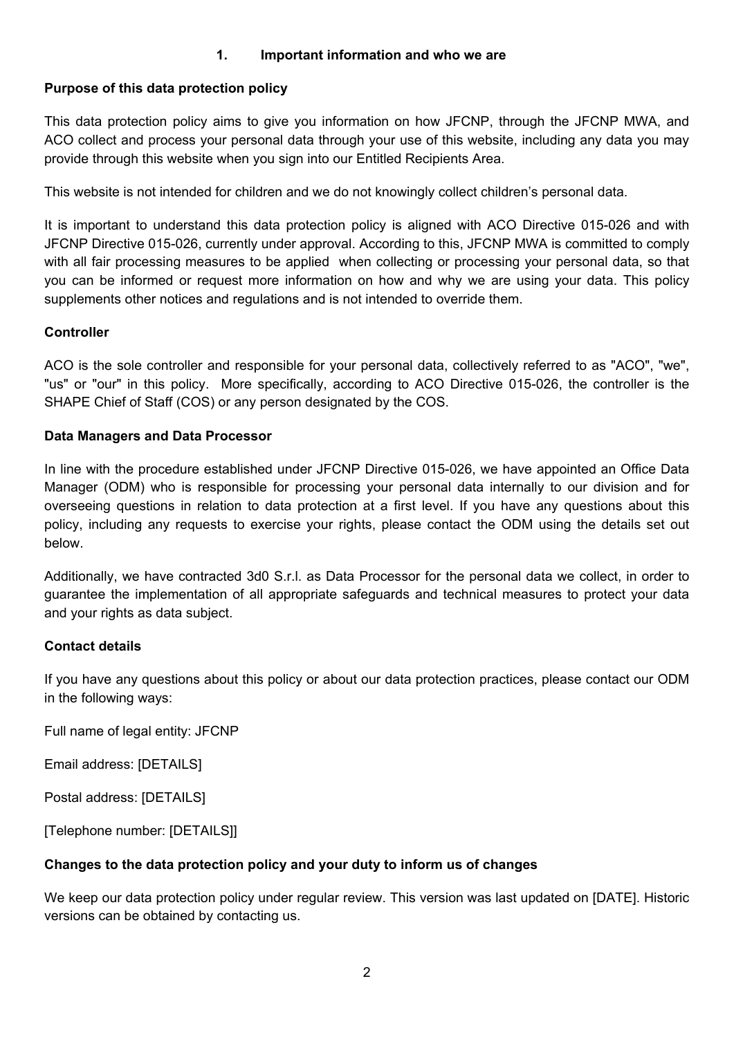## **1. Important information and who we are**

## <span id="page-2-0"></span>**Purpose of this data protection policy**

This data protection policy aims to give you information on how JFCNP, through the JFCNP MWA, and ACO collect and process your personal data through your use of this website, including any data you may provide through this website when you sign into our Entitled Recipients Area.

This website is not intended for children and we do not knowingly collect children's personal data.

It is important to understand this data protection policy is aligned with ACO Directive 015-026 and with JFCNP Directive 015-026, currently under approval. According to this, JFCNP MWA is committed to comply with all fair processing measures to be applied when collecting or processing your personal data, so that you can be informed or request more information on how and why we are using your data. This policy supplements other notices and regulations and is not intended to override them.

#### **Controller**

ACO is the sole controller and responsible for your personal data, collectively referred to as "ACO", "we", "us" or "our" in this policy. More specifically, according to ACO Directive 015-026, the controller is the SHAPE Chief of Staff (COS) or any person designated by the COS.

#### **Data Managers and Data Processor**

In line with the procedure established under JFCNP Directive 015-026, we have appointed an Office Data Manager (ODM) who is responsible for processing your personal data internally to our division and for overseeing questions in relation to data protection at a first level. If you have any questions about this policy, including any requests to exercise your rights, please contact the ODM using the details set out below.

Additionally, we have contracted 3d0 S.r.l. as Data Processor for the personal data we collect, in order to guarantee the implementation of all appropriate safeguards and technical measures to protect your data and your rights as data subject.

#### **Contact details**

If you have any questions about this policy or about our data protection practices, please contact our ODM in the following ways:

Full name of legal entity: JFCNP

Email address: [DETAILS]

Postal address: [DETAILS]

[Telephone number: [DETAILS]]

# **Changes to the data protection policy and your duty to inform us of changes**

We keep our data protection policy under regular review. This version was last updated on [DATE]. Historic versions can be obtained by contacting us.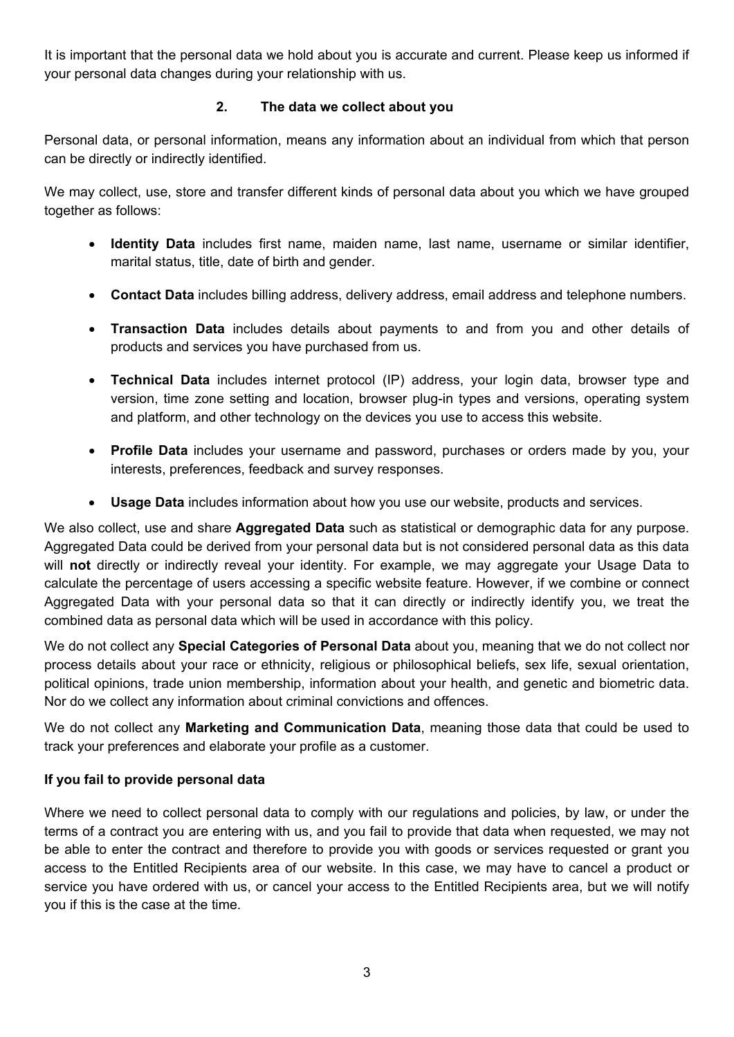It is important that the personal data we hold about you is accurate and current. Please keep us informed if your personal data changes during your relationship with us.

# **2. The data we collect about you**

<span id="page-3-0"></span>Personal data, or personal information, means any information about an individual from which that person can be directly or indirectly identified.

We may collect, use, store and transfer different kinds of personal data about you which we have grouped together as follows:

- **Identity Data** includes first name, maiden name, last name, username or similar identifier, marital status, title, date of birth and gender.
- **Contact Data** includes billing address, delivery address, email address and telephone numbers.
- **Transaction Data** includes details about payments to and from you and other details of products and services you have purchased from us.
- **Technical Data** includes internet protocol (IP) address, your login data, browser type and version, time zone setting and location, browser plug-in types and versions, operating system and platform, and other technology on the devices you use to access this website.
- **Profile Data** includes your username and password, purchases or orders made by you, your interests, preferences, feedback and survey responses.
- **Usage Data** includes information about how you use our website, products and services.

We also collect, use and share **Aggregated Data** such as statistical or demographic data for any purpose. Aggregated Data could be derived from your personal data but is not considered personal data as this data will **not** directly or indirectly reveal your identity. For example, we may aggregate your Usage Data to calculate the percentage of users accessing a specific website feature. However, if we combine or connect Aggregated Data with your personal data so that it can directly or indirectly identify you, we treat the combined data as personal data which will be used in accordance with this policy.

We do not collect any **Special Categories of Personal Data** about you, meaning that we do not collect nor process details about your race or ethnicity, religious or philosophical beliefs, sex life, sexual orientation, political opinions, trade union membership, information about your health, and genetic and biometric data. Nor do we collect any information about criminal convictions and offences.

We do not collect any **Marketing and Communication Data**, meaning those data that could be used to track your preferences and elaborate your profile as a customer.

# **If you fail to provide personal data**

Where we need to collect personal data to comply with our regulations and policies, by law, or under the terms of a contract you are entering with us, and you fail to provide that data when requested, we may not be able to enter the contract and therefore to provide you with goods or services requested or grant you access to the Entitled Recipients area of our website. In this case, we may have to cancel a product or service you have ordered with us, or cancel your access to the Entitled Recipients area, but we will notify you if this is the case at the time.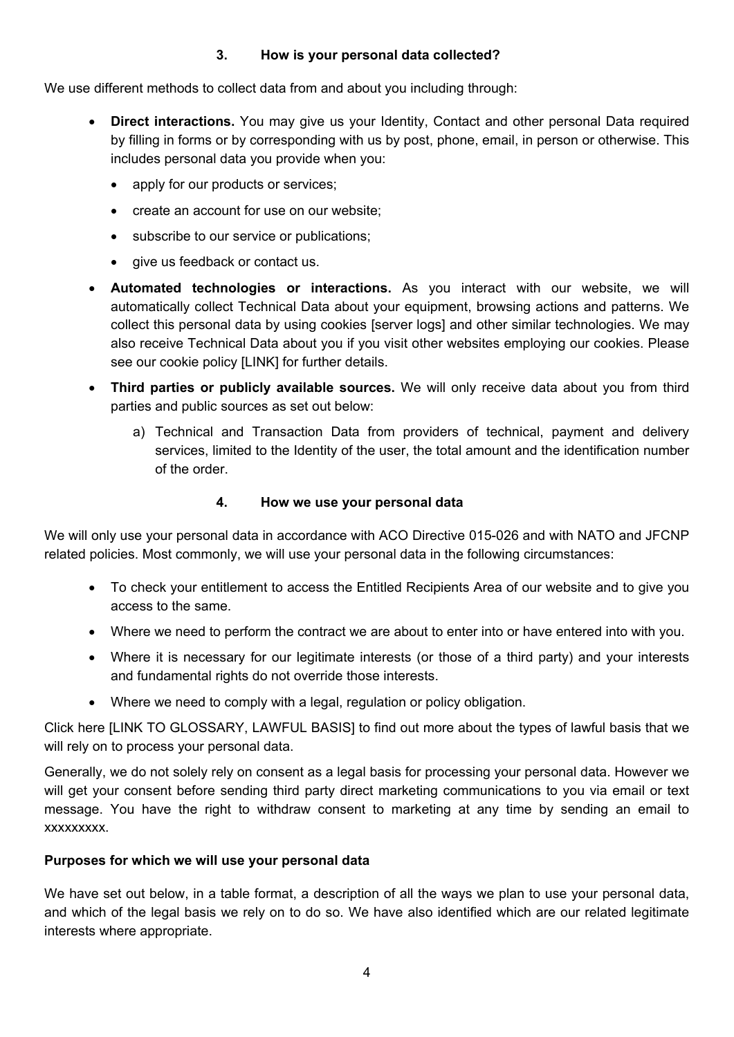# **3. How is your personal data collected?**

<span id="page-4-0"></span>We use different methods to collect data from and about you including through:

- **Direct interactions.** You may give us your Identity, Contact and other personal Data required by filling in forms or by corresponding with us by post, phone, email, in person or otherwise. This includes personal data you provide when you:
	- apply for our products or services;
	- create an account for use on our website;
	- subscribe to our service or publications;
	- give us feedback or contact us.
- **Automated technologies or interactions.** As you interact with our website, we will automatically collect Technical Data about your equipment, browsing actions and patterns. We collect this personal data by using cookies [server logs] and other similar technologies. We may also receive Technical Data about you if you visit other websites employing our cookies. Please see our cookie policy [LINK] for further details.
- **Third parties or publicly available sources.** We will only receive data about you from third parties and public sources as set out below:
	- a) Technical and Transaction Data from providers of technical, payment and delivery services, limited to the Identity of the user, the total amount and the identification number of the order.

## **4. How we use your personal data**

<span id="page-4-1"></span>We will only use your personal data in accordance with ACO Directive 015-026 and with NATO and JFCNP related policies. Most commonly, we will use your personal data in the following circumstances:

- To check your entitlement to access the Entitled Recipients Area of our website and to give you access to the same.
- Where we need to perform the contract we are about to enter into or have entered into with you.
- Where it is necessary for our legitimate interests (or those of a third party) and your interests and fundamental rights do not override those interests.
- Where we need to comply with a legal, regulation or policy obligation.

Click here [LINK TO GLOSSARY, LAWFUL BASIS] to find out more about the types of lawful basis that we will rely on to process your personal data.

Generally, we do not solely rely on consent as a legal basis for processing your personal data. However we will get your consent before sending third party direct marketing communications to you via email or text message. You have the right to withdraw consent to marketing at any time by sending an email to xxxxxxxxx.

# **Purposes for which we will use your personal data**

We have set out below, in a table format, a description of all the ways we plan to use your personal data, and which of the legal basis we rely on to do so. We have also identified which are our related legitimate interests where appropriate.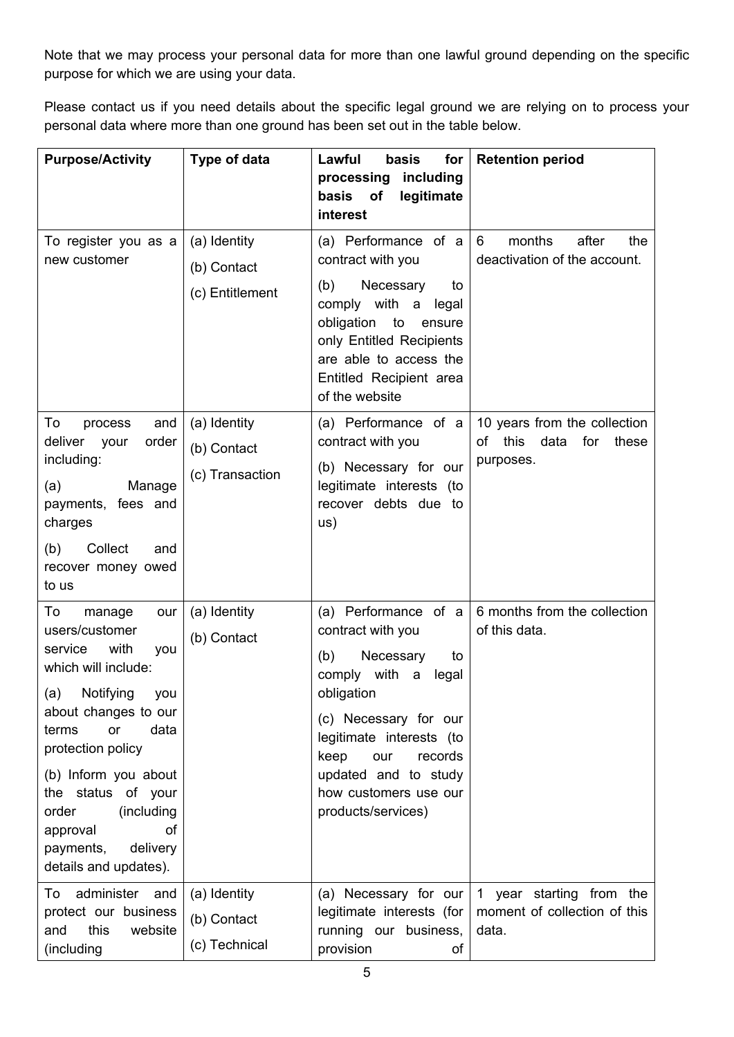Note that we may process your personal data for more than one lawful ground depending on the specific purpose for which we are using your data.

Please contact us if you need details about the specific legal ground we are relying on to process your personal data where more than one ground has been set out in the table below.

| <b>Purpose/Activity</b>                                                                                                                                                                                                                                                                                                        | Type of data                                   | Lawful<br>for<br>basis<br>including<br>processing<br>of<br>legitimate<br>basis                                                                                                                                                                                       | <b>Retention period</b>                                                         |
|--------------------------------------------------------------------------------------------------------------------------------------------------------------------------------------------------------------------------------------------------------------------------------------------------------------------------------|------------------------------------------------|----------------------------------------------------------------------------------------------------------------------------------------------------------------------------------------------------------------------------------------------------------------------|---------------------------------------------------------------------------------|
| To register you as a<br>new customer                                                                                                                                                                                                                                                                                           | (a) Identity<br>(b) Contact<br>(c) Entitlement | interest<br>(a) Performance of a<br>contract with you<br>(b)<br>Necessary<br>to<br>comply with a<br>legal<br>obligation<br>to<br>ensure<br>only Entitled Recipients<br>are able to access the<br>Entitled Recipient area<br>of the website                           | months<br>after<br>6<br>the<br>deactivation of the account.                     |
| To<br>and<br>process<br>deliver<br>order<br>your<br>including:<br>(a)<br>Manage<br>payments, fees and<br>charges<br>Collect<br>(b)<br>and<br>recover money owed<br>to us                                                                                                                                                       | (a) Identity<br>(b) Contact<br>(c) Transaction | (a) Performance of a<br>contract with you<br>(b) Necessary for our<br>legitimate interests (to<br>recover debts due to<br>us)                                                                                                                                        | 10 years from the collection<br>this<br>data<br>of<br>for<br>these<br>purposes. |
| To<br>manage<br>our<br>users/customer<br>with<br>service<br>you<br>which will include:<br>(a)<br>Notifying<br>you<br>about changes to our<br>or<br>data<br>terms<br>protection policy<br>(b) Inform you about<br>the status of your<br>(including<br>order<br>of<br>approval<br>payments,<br>delivery<br>details and updates). | (a) Identity<br>(b) Contact                    | (a) Performance of a<br>contract with you<br>(b)<br>Necessary<br>to<br>comply with<br>a<br>legal<br>obligation<br>(c) Necessary for our<br>legitimate interests (to<br>keep<br>our<br>records<br>updated and to study<br>how customers use our<br>products/services) | 6 months from the collection<br>of this data.                                   |
| administer and<br>To<br>protect our business<br>this<br>website<br>and<br>(including                                                                                                                                                                                                                                           | (a) Identity<br>(b) Contact<br>(c) Technical   | (a) Necessary for our<br>legitimate interests (for<br>running our business,<br>provision<br>οf                                                                                                                                                                       | 1 year starting from the<br>moment of collection of this<br>data.               |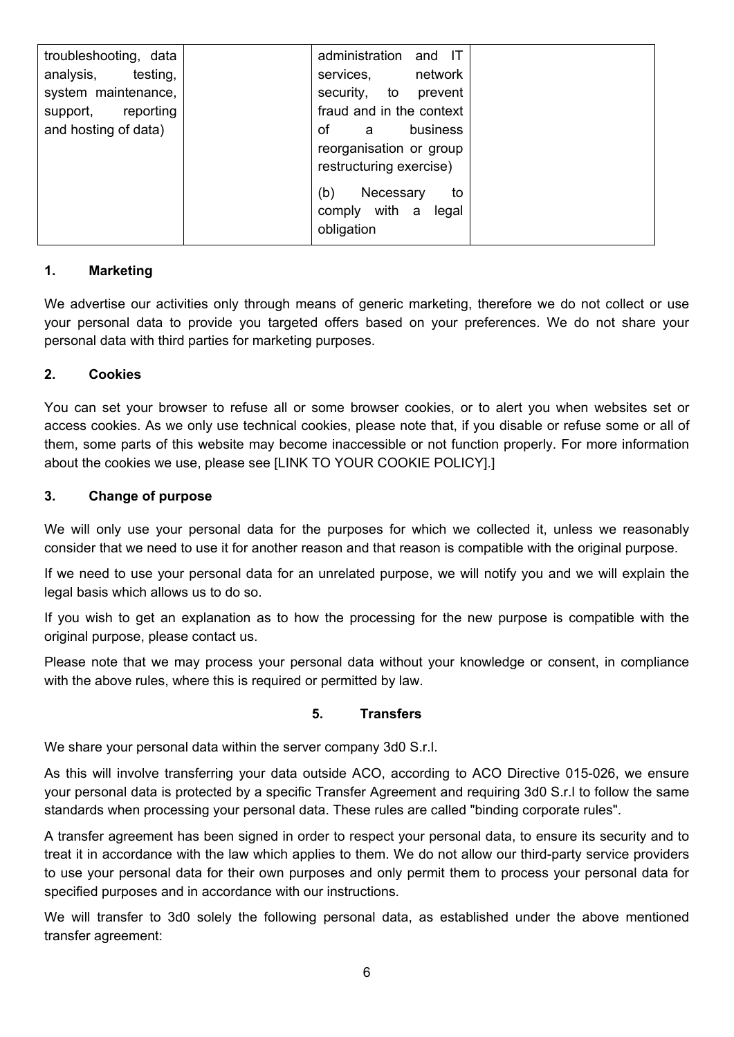| troubleshooting, data | administration and IT    |          |
|-----------------------|--------------------------|----------|
| analysis, testing,    | services,                | network  |
| system maintenance,   | security, to prevent     |          |
| support, reporting    | fraud and in the context |          |
| and hosting of data)  | of<br>$\overline{a}$     | business |
|                       | reorganisation or group  |          |
|                       | restructuring exercise)  |          |
|                       | (b)<br>Necessary         | to       |
|                       | comply with a            | legal    |
|                       | obligation               |          |
|                       |                          |          |

# **1. Marketing**

We advertise our activities only through means of generic marketing, therefore we do not collect or use your personal data to provide you targeted offers based on your preferences. We do not share your personal data with third parties for marketing purposes.

#### **2. Cookies**

You can set your browser to refuse all or some browser cookies, or to alert you when websites set or access cookies. As we only use technical cookies, please note that, if you disable or refuse some or all of them, some parts of this website may become inaccessible or not function properly. For more information about the cookies we use, please see [LINK TO YOUR COOKIE POLICY].]

#### **3. Change of purpose**

We will only use your personal data for the purposes for which we collected it, unless we reasonably consider that we need to use it for another reason and that reason is compatible with the original purpose.

If we need to use your personal data for an unrelated purpose, we will notify you and we will explain the legal basis which allows us to do so.

If you wish to get an explanation as to how the processing for the new purpose is compatible with the original purpose, please contact us.

Please note that we may process your personal data without your knowledge or consent, in compliance with the above rules, where this is required or permitted by law.

#### <span id="page-6-0"></span>**5. Transfers**

We share your personal data within the server company 3d0 S.r.l.

As this will involve transferring your data outside ACO, according to ACO Directive 015-026, we ensure your personal data is protected by a specific Transfer Agreement and requiring 3d0 S.r.l to follow the same standards when processing your personal data. These rules are called "binding corporate rules".

A transfer agreement has been signed in order to respect your personal data, to ensure its security and to treat it in accordance with the law which applies to them. We do not allow our third-party service providers to use your personal data for their own purposes and only permit them to process your personal data for specified purposes and in accordance with our instructions.

We will transfer to 3d0 solely the following personal data, as established under the above mentioned transfer agreement: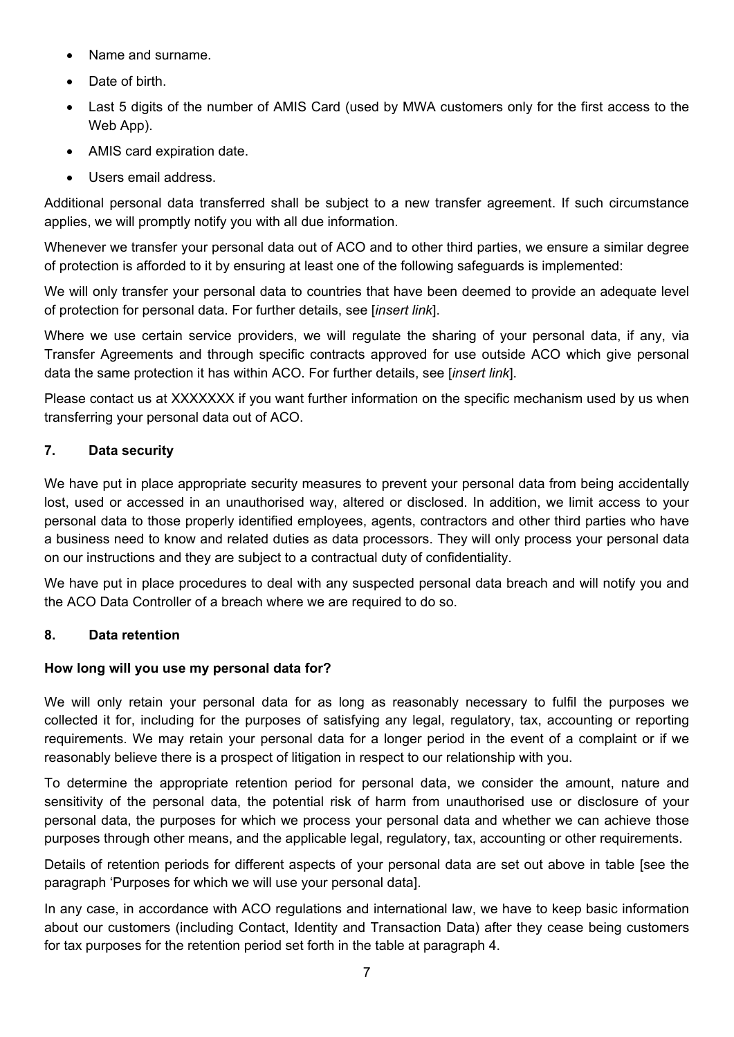- Name and surname.
- Date of birth
- Last 5 digits of the number of AMIS Card (used by MWA customers only for the first access to the Web App).
- AMIS card expiration date.
- Users email address.

Additional personal data transferred shall be subject to a new transfer agreement. If such circumstance applies, we will promptly notify you with all due information.

Whenever we transfer your personal data out of ACO and to other third parties, we ensure a similar degree of protection is afforded to it by ensuring at least one of the following safeguards is implemented:

We will only transfer your personal data to countries that have been deemed to provide an adequate level of protection for personal data. For further details, see [*insert link*].

Where we use certain service providers, we will regulate the sharing of your personal data, if any, via Transfer Agreements and through specific contracts approved for use outside ACO which give personal data the same protection it has within ACO. For further details, see [*insert link*].

Please contact us at XXXXXXX if you want further information on the specific mechanism used by us when transferring your personal data out of ACO.

# <span id="page-7-0"></span>**7. Data security**

We have put in place appropriate security measures to prevent your personal data from being accidentally lost, used or accessed in an unauthorised way, altered or disclosed. In addition, we limit access to your personal data to those properly identified employees, agents, contractors and other third parties who have a business need to know and related duties as data processors. They will only process your personal data on our instructions and they are subject to a contractual duty of confidentiality.

We have put in place procedures to deal with any suspected personal data breach and will notify you and the ACO Data Controller of a breach where we are required to do so.

# <span id="page-7-1"></span>**8. Data retention**

# **How long will you use my personal data for?**

We will only retain your personal data for as long as reasonably necessary to fulfil the purposes we collected it for, including for the purposes of satisfying any legal, regulatory, tax, accounting or reporting requirements. We may retain your personal data for a longer period in the event of a complaint or if we reasonably believe there is a prospect of litigation in respect to our relationship with you.

To determine the appropriate retention period for personal data, we consider the amount, nature and sensitivity of the personal data, the potential risk of harm from unauthorised use or disclosure of your personal data, the purposes for which we process your personal data and whether we can achieve those purposes through other means, and the applicable legal, regulatory, tax, accounting or other requirements.

Details of retention periods for different aspects of your personal data are set out above in table [see the paragraph 'Purposes for which we will use your personal data].

In any case, in accordance with ACO regulations and international law, we have to keep basic information about our customers (including Contact, Identity and Transaction Data) after they cease being customers for tax purposes for the retention period set forth in the table at paragraph 4.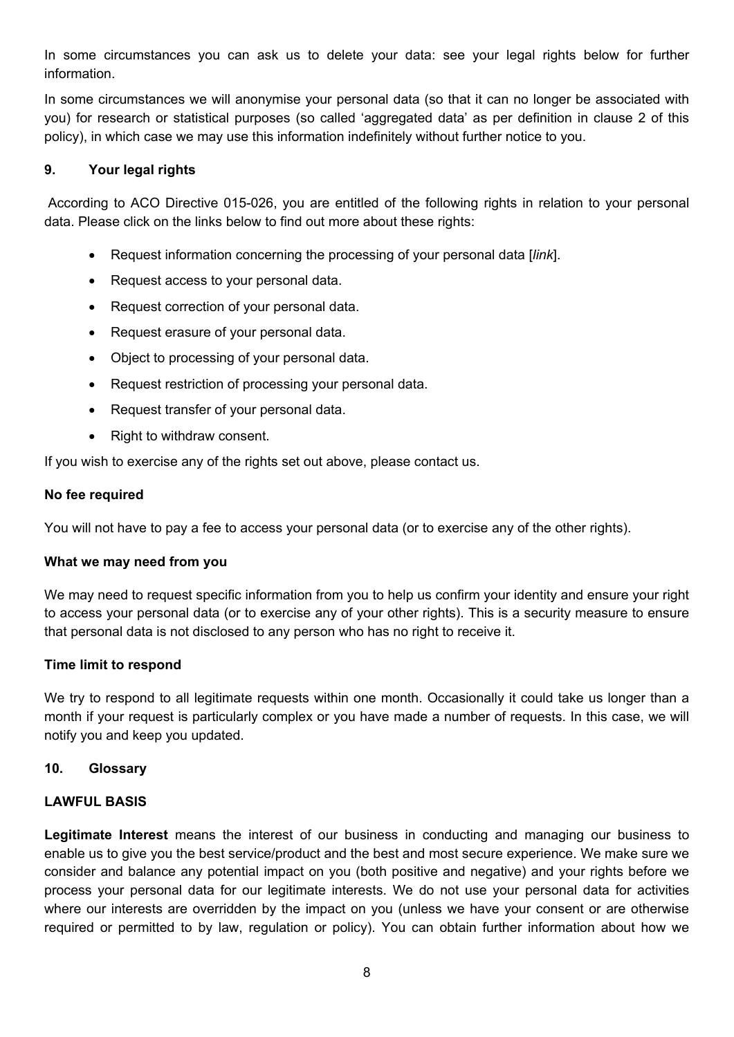In some circumstances you can ask us to delete your data: see your legal rights below for further information.

In some circumstances we will anonymise your personal data (so that it can no longer be associated with you) for research or statistical purposes (so called 'aggregated data' as per definition in clause 2 of this policy), in which case we may use this information indefinitely without further notice to you.

## <span id="page-8-0"></span>**9. Your legal rights**

According to ACO Directive 015-026, you are entitled of the following rights in relation to your personal data. Please click on the links below to find out more about these rights:

- Request information concerning the processing of your personal data [*link*].
- Request access to your personal data.
- Request correction of your personal data.
- Request erasure of your personal data.
- Object to processing of your personal data.
- Request restriction of processing your personal data.
- Request transfer of your personal data.
- Right to withdraw consent.

If you wish to exercise any of the rights set out above, please contact us.

#### **No fee required**

You will not have to pay a fee to access your personal data (or to exercise any of the other rights).

#### **What we may need from you**

We may need to request specific information from you to help us confirm your identity and ensure your right to access your personal data (or to exercise any of your other rights). This is a security measure to ensure that personal data is not disclosed to any person who has no right to receive it.

#### **Time limit to respond**

We try to respond to all legitimate requests within one month. Occasionally it could take us longer than a month if your request is particularly complex or you have made a number of requests. In this case, we will notify you and keep you updated.

#### <span id="page-8-1"></span>**10. Glossary**

# **LAWFUL BASIS**

**Legitimate Interest** means the interest of our business in conducting and managing our business to enable us to give you the best service/product and the best and most secure experience. We make sure we consider and balance any potential impact on you (both positive and negative) and your rights before we process your personal data for our legitimate interests. We do not use your personal data for activities where our interests are overridden by the impact on you (unless we have your consent or are otherwise required or permitted to by law, regulation or policy). You can obtain further information about how we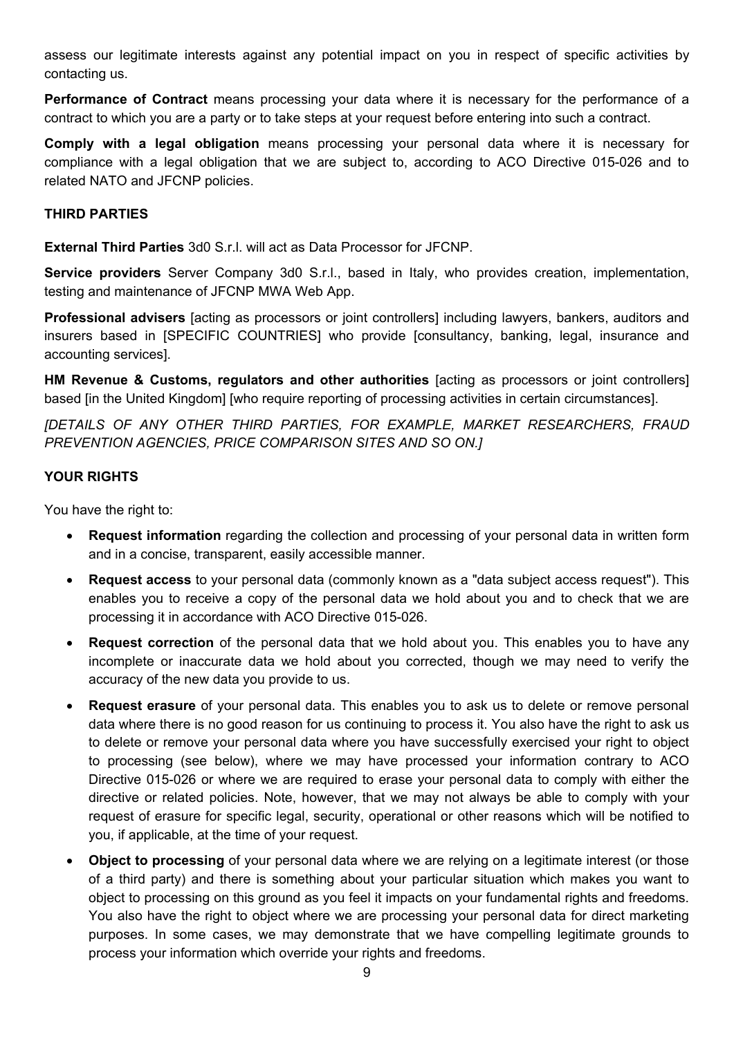assess our legitimate interests against any potential impact on you in respect of specific activities by contacting us.

**Performance of Contract** means processing your data where it is necessary for the performance of a contract to which you are a party or to take steps at your request before entering into such a contract.

**Comply with a legal obligation** means processing your personal data where it is necessary for compliance with a legal obligation that we are subject to, according to ACO Directive 015-026 and to related NATO and JFCNP policies.

### **THIRD PARTIES**

**External Third Parties** 3d0 S.r.l. will act as Data Processor for JFCNP.

**Service providers** Server Company 3d0 S.r.l., based in Italy, who provides creation, implementation, testing and maintenance of JFCNP MWA Web App.

**Professional advisers** [acting as processors or joint controllers] including lawyers, bankers, auditors and insurers based in [SPECIFIC COUNTRIES] who provide [consultancy, banking, legal, insurance and accounting services].

**HM Revenue & Customs, regulators and other authorities** [acting as processors or joint controllers] based [in the United Kingdom] [who require reporting of processing activities in certain circumstances].

*[DETAILS OF ANY OTHER THIRD PARTIES, FOR EXAMPLE, MARKET RESEARCHERS, FRAUD PREVENTION AGENCIES, PRICE COMPARISON SITES AND SO ON.]* 

## **YOUR RIGHTS**

You have the right to:

- **Request information** regarding the collection and processing of your personal data in written form and in a concise, transparent, easily accessible manner.
- **Request access** to your personal data (commonly known as a "data subject access request"). This enables you to receive a copy of the personal data we hold about you and to check that we are processing it in accordance with ACO Directive 015-026.
- **Request correction** of the personal data that we hold about you. This enables you to have any incomplete or inaccurate data we hold about you corrected, though we may need to verify the accuracy of the new data you provide to us.
- **Request erasure** of your personal data. This enables you to ask us to delete or remove personal data where there is no good reason for us continuing to process it. You also have the right to ask us to delete or remove your personal data where you have successfully exercised your right to object to processing (see below), where we may have processed your information contrary to ACO Directive 015-026 or where we are required to erase your personal data to comply with either the directive or related policies. Note, however, that we may not always be able to comply with your request of erasure for specific legal, security, operational or other reasons which will be notified to you, if applicable, at the time of your request.
- **Object to processing** of your personal data where we are relying on a legitimate interest (or those of a third party) and there is something about your particular situation which makes you want to object to processing on this ground as you feel it impacts on your fundamental rights and freedoms. You also have the right to object where we are processing your personal data for direct marketing purposes. In some cases, we may demonstrate that we have compelling legitimate grounds to process your information which override your rights and freedoms.